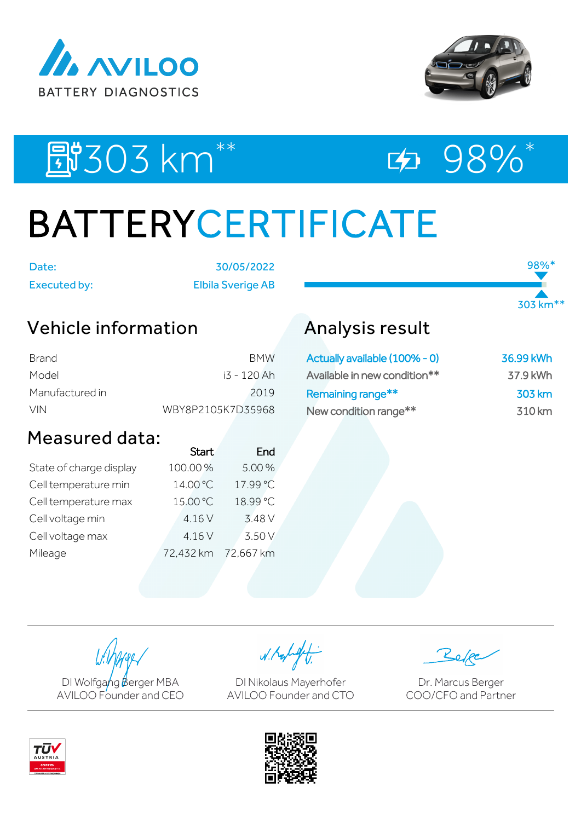



98%\*

303 km\*\*

## EU303 km<sup>\*\*</sup> ED 98%\*

# BATTERYCERTIFICATE

Date: 30/05/2022 Executed by: Elbila Sverige AB

## Vehicle information

| Brand           | <b>BMW</b>        |
|-----------------|-------------------|
| Model           | i3 - 120 Ah       |
| Manufactured in | 2019              |
| VIN.            | WBY8P2105K7D35968 |

### Measured data:

|                         | <b>Start</b> | End       |
|-------------------------|--------------|-----------|
| State of charge display | 100.00%      | 5.00%     |
| Cell temperature min    | 14.00 °C     | 17.99 °C  |
| Cell temperature max    | 15.00 °C     | 18.99 °C  |
| Cell voltage min        | 4.16 V       | 3.48 V    |
| Cell voltage max        | 4.16 V       | 3.50 V    |
| Mileage                 | 72,432 km    | 72,667 km |

## Analysis result

| Actually available (100% - 0) | 36.99 kWh |
|-------------------------------|-----------|
| Available in new condition**  | 37.9 kWh  |
| Remaining range**             | 303 km    |
| New condition range**         | 310 km    |

DI Wolfgang Berger MBA AVILOO Founder and CEO

W. Kolight

DI Nikolaus Mayerhofer AVILOO Founder and CTO

Dr. Marcus Berger COO/CFO and Partner